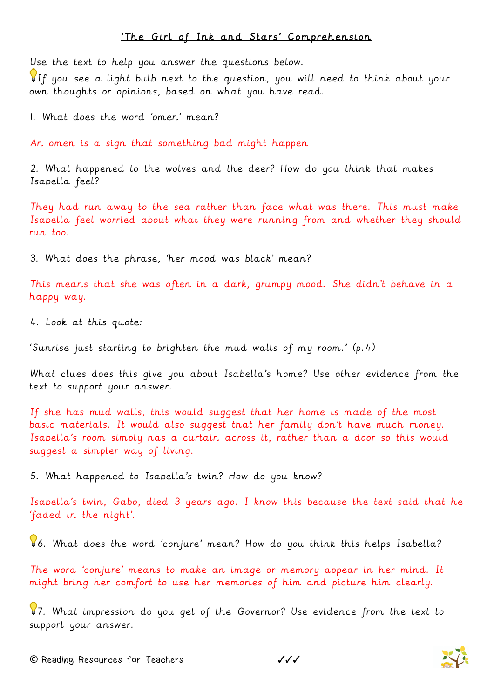## 'The Girl of Ink and Stars' Comprehension

Use the text to help you answer the questions below.

If you see a light bulb next to the question, you will need to think about your own thoughts or opinions, based on what you have read.

1. What does the word 'omen' mean?

An omen is a sign that something bad might happen

2. What happened to the wolves and the deer? How do you think that makes Isabella feel?

They had run away to the sea rather than face what was there. This must make Isabella feel worried about what they were running from and whether they should run too.

3. What does the phrase, 'her mood was black' mean?

This means that she was often in a dark, grumpy mood. She didn't behave in a happy way.

4. Look at this quote:

'Sunrise just starting to brighten the mud walls of my room.' (p.4)

What clues does this give you about Isabella's home? Use other evidence from the text to support your answer.

If she has mud walls, this would suggest that her home is made of the most basic materials. It would also suggest that her family don't have much money. Isabella's room simply has a curtain across it, rather than a door so this would suggest a simpler way of living.

5. What happened to Isabella's twin? How do you know?

Isabella's twin, Gabo, died 3 years ago. I know this because the text said that he 'faded in the night'.

6. What does the word 'conjure' mean? How do you think this helps Isabella?

The word 'conjure' means to make an image or memory appear in her mind. It might bring her comfort to use her memories of him and picture him clearly.

87. What impression do you get of the Governor? Use evidence from the text to support your answer.